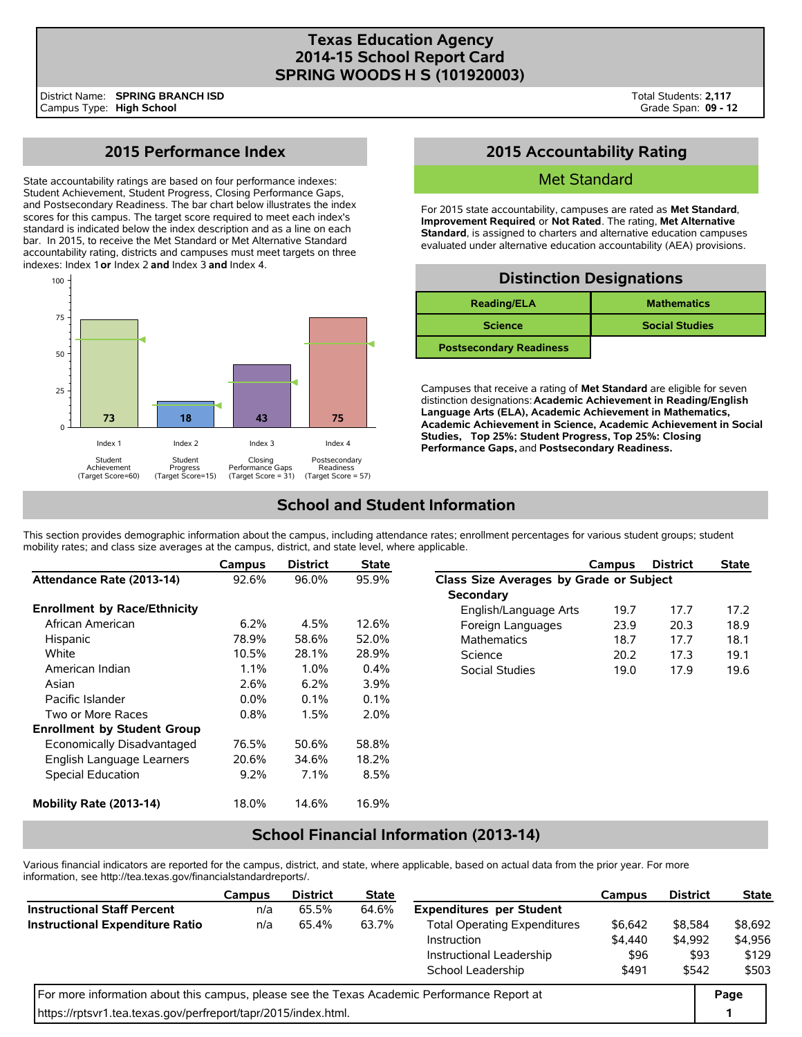## **Texas Education Agency 2014-15 School Report Card SPRING WOODS H S (101920003)**

# **2015 Performance Index**

State accountability ratings are based on four performance indexes: Student Achievement, Student Progress, Closing Performance Gaps, and Postsecondary Readiness. The bar chart below illustrates the index scores for this campus. The target score required to meet each index's standard is indicated below the index description and as a line on each bar. In 2015, to receive the Met Standard or Met Alternative Standard accountability rating, districts and campuses must meet targets on three indexes: Index 1 **or** Index 2 **and** Index 3 **and** Index 4.



## **2015 Accountability Rating**

### Met Standard

For 2015 state accountability, campuses are rated as **Met Standard**, **Improvement Required**, or **Not Rated**. The rating, **Met Alternative Standard**, is assigned to charters and alternative education campuses evaluated under alternative education accountability (AEA) provisions.

| <b>Distinction Designations</b> |                       |  |  |  |  |  |  |  |
|---------------------------------|-----------------------|--|--|--|--|--|--|--|
| <b>Reading/ELA</b>              | <b>Mathematics</b>    |  |  |  |  |  |  |  |
| <b>Science</b>                  | <b>Social Studies</b> |  |  |  |  |  |  |  |
| <b>Postsecondary Readiness</b>  |                       |  |  |  |  |  |  |  |

Campuses that receive a rating of **Met Standard** are eligible for seven distinction designations: **Academic Achievement in Reading/English Language Arts (ELA), Academic Achievement in Mathematics, Academic Achievement in Science, Academic Achievement in Social Studies, Top 25%: Student Progress, Top 25%: Closing Performance Gaps,** and **Postsecondary Readiness.**

# **School and Student Information**

This section provides demographic information about the campus, including attendance rates; enrollment percentages for various student groups; student mobility rates; and class size averages at the campus, district, and state level, where applicable.

|                                     | Campus  | <b>District</b> | <b>State</b> |                                         | Campus | <b>District</b> | <b>State</b> |
|-------------------------------------|---------|-----------------|--------------|-----------------------------------------|--------|-----------------|--------------|
| Attendance Rate (2013-14)           | 92.6%   | 96.0%           | 95.9%        | Class Size Averages by Grade or Subject |        |                 |              |
|                                     |         |                 |              | <b>Secondary</b>                        |        |                 |              |
| <b>Enrollment by Race/Ethnicity</b> |         |                 |              | English/Language Arts                   | 19.7   | 17.7            | 17.2         |
| African American                    | 6.2%    | 4.5%            | 12.6%        | Foreign Languages                       | 23.9   | 20.3            | 18.9         |
| Hispanic                            | 78.9%   | 58.6%           | 52.0%        | <b>Mathematics</b>                      | 18.7   | 17.7            | 18.1         |
| White                               | 10.5%   | 28.1%           | 28.9%        | Science                                 | 20.2   | 17.3            | 19.1         |
| American Indian                     | 1.1%    | 1.0%            | 0.4%         | Social Studies                          | 19.0   | 17.9            | 19.6         |
| Asian                               | 2.6%    | 6.2%            | 3.9%         |                                         |        |                 |              |
| Pacific Islander                    | $0.0\%$ | 0.1%            | 0.1%         |                                         |        |                 |              |
| Two or More Races                   | 0.8%    | 1.5%            | $2.0\%$      |                                         |        |                 |              |
| <b>Enrollment by Student Group</b>  |         |                 |              |                                         |        |                 |              |
| Economically Disadvantaged          | 76.5%   | 50.6%           | 58.8%        |                                         |        |                 |              |
| English Language Learners           | 20.6%   | 34.6%           | 18.2%        |                                         |        |                 |              |
| Special Education                   | $9.2\%$ | 7.1%            | 8.5%         |                                         |        |                 |              |
| Mobility Rate (2013-14)             | 18.0%   | 14.6%           | 16.9%        |                                         |        |                 |              |

## **School Financial Information (2013-14)**

Various financial indicators are reported for the campus, district, and state, where applicable, based on actual data from the prior year. For more information, see http://tea.texas.gov/financialstandardreports/.

|                                                                                             | Campus | <b>District</b> | <b>State</b> |                                     | Campus  | <b>District</b> | <b>State</b> |
|---------------------------------------------------------------------------------------------|--------|-----------------|--------------|-------------------------------------|---------|-----------------|--------------|
| <b>Instructional Staff Percent</b>                                                          | n/a    | 65.5%           | 64.6%        | <b>Expenditures per Student</b>     |         |                 |              |
| <b>Instructional Expenditure Ratio</b>                                                      | n/a    | 65.4%           | 63.7%        | <b>Total Operating Expenditures</b> | \$6,642 | \$8,584         | \$8,692      |
|                                                                                             |        |                 |              | Instruction                         | \$4,440 | \$4.992         | \$4,956      |
|                                                                                             |        |                 |              | Instructional Leadership            | \$96    | \$93            | \$129        |
|                                                                                             |        |                 | \$491        | \$542                               | \$503   |                 |              |
| For more information about this campus, please see the Texas Academic Performance Report at |        |                 |              |                                     |         |                 |              |
| https://rptsvr1.tea.texas.gov/perfreport/tapr/2015/index.html.                              |        |                 |              |                                     |         |                 |              |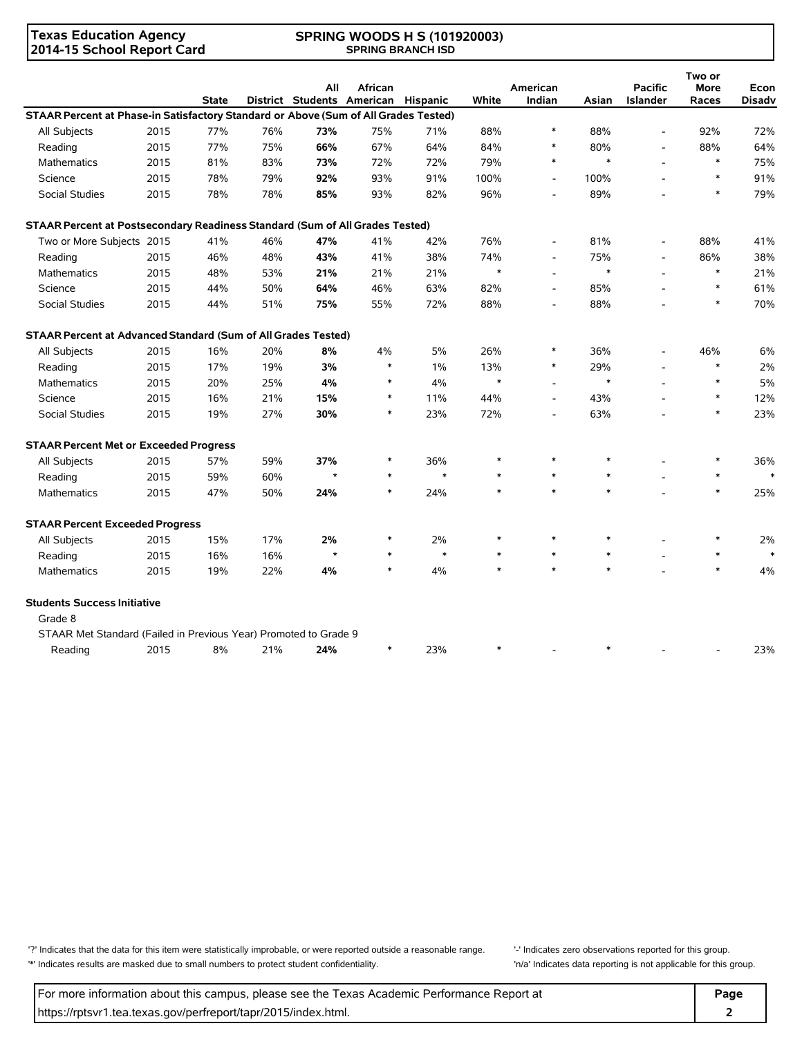### **Texas Education Agency 2014-15 School Report Card**

#### **SPRING WOODS H S (101920003) SPRING BRANCH ISD**

|                                                                                     |      | <b>State</b> |     | All     | <b>African</b><br>District Students American Hispanic |        | White  | American<br>Indian       | Asian  | <b>Pacific</b><br>Islander | Two or<br>More<br>Races | Econ<br><b>Disadv</b> |
|-------------------------------------------------------------------------------------|------|--------------|-----|---------|-------------------------------------------------------|--------|--------|--------------------------|--------|----------------------------|-------------------------|-----------------------|
| STAAR Percent at Phase-in Satisfactory Standard or Above (Sum of All Grades Tested) |      |              |     |         |                                                       |        |        |                          |        |                            |                         |                       |
| All Subjects                                                                        | 2015 | 77%          | 76% | 73%     | 75%                                                   | 71%    | 88%    | $\ast$                   | 88%    | ÷,                         | 92%                     | 72%                   |
| Reading                                                                             | 2015 | 77%          | 75% | 66%     | 67%                                                   | 64%    | 84%    |                          | 80%    | $\frac{1}{2}$              | 88%                     | 64%                   |
| <b>Mathematics</b>                                                                  | 2015 | 81%          | 83% | 73%     | 72%                                                   | 72%    | 79%    | $\ast$                   | $\ast$ | $\overline{\phantom{a}}$   | $\ast$                  | 75%                   |
| Science                                                                             | 2015 | 78%          | 79% | 92%     | 93%                                                   | 91%    | 100%   | $\overline{\phantom{a}}$ | 100%   |                            | $\ast$                  | 91%                   |
| <b>Social Studies</b>                                                               | 2015 | 78%          | 78% | 85%     | 93%                                                   | 82%    | 96%    | $\overline{a}$           | 89%    |                            |                         | 79%                   |
| STAAR Percent at Postsecondary Readiness Standard (Sum of All Grades Tested)        |      |              |     |         |                                                       |        |        |                          |        |                            |                         |                       |
| Two or More Subjects 2015                                                           |      | 41%          | 46% | 47%     | 41%                                                   | 42%    | 76%    | $\overline{a}$           | 81%    | $\overline{a}$             | 88%                     | 41%                   |
| Reading                                                                             | 2015 | 46%          | 48% | 43%     | 41%                                                   | 38%    | 74%    |                          | 75%    | $\overline{a}$             | 86%                     | 38%                   |
| <b>Mathematics</b>                                                                  | 2015 | 48%          | 53% | 21%     | 21%                                                   | 21%    | $\ast$ |                          | $\ast$ |                            | $\ast$                  | 21%                   |
| Science                                                                             | 2015 | 44%          | 50% | 64%     | 46%                                                   | 63%    | 82%    | $\overline{a}$           | 85%    |                            | $\ast$                  | 61%                   |
| Social Studies                                                                      | 2015 | 44%          | 51% | 75%     | 55%                                                   | 72%    | 88%    |                          | 88%    |                            | $\ast$                  | 70%                   |
| STAAR Percent at Advanced Standard (Sum of All Grades Tested)                       |      |              |     |         |                                                       |        |        |                          |        |                            |                         |                       |
| All Subjects                                                                        | 2015 | 16%          | 20% | 8%      | 4%                                                    | 5%     | 26%    | ∗                        | 36%    | $\overline{a}$             | 46%                     | 6%                    |
| Reading                                                                             | 2015 | 17%          | 19% | 3%      | $\ast$                                                | 1%     | 13%    | $\ast$                   | 29%    |                            | $\ast$                  | 2%                    |
| Mathematics                                                                         | 2015 | 20%          | 25% | 4%      | $\ast$                                                | 4%     | $\ast$ |                          | $\ast$ |                            | $\ast$                  | 5%                    |
| Science                                                                             | 2015 | 16%          | 21% | 15%     | $\ast$                                                | 11%    | 44%    |                          | 43%    |                            | $\ast$                  | 12%                   |
| Social Studies                                                                      | 2015 | 19%          | 27% | 30%     | $\ast$                                                | 23%    | 72%    |                          | 63%    |                            | $\ast$                  | 23%                   |
| <b>STAAR Percent Met or Exceeded Progress</b>                                       |      |              |     |         |                                                       |        |        |                          |        |                            |                         |                       |
| All Subjects                                                                        | 2015 | 57%          | 59% | 37%     | ∗                                                     | 36%    | $\ast$ | $\ast$                   | $\ast$ |                            |                         | 36%                   |
| Reading                                                                             | 2015 | 59%          | 60% | $\star$ | $\ast$                                                | $\ast$ | $\ast$ | $\ast$                   | $\ast$ |                            | $\ast$                  | $\ast$                |
| Mathematics                                                                         | 2015 | 47%          | 50% | 24%     | $\ast$                                                | 24%    | $\ast$ | $\ast$                   | $\ast$ |                            | $\ast$                  | 25%                   |
| <b>STAAR Percent Exceeded Progress</b>                                              |      |              |     |         |                                                       |        |        |                          |        |                            |                         |                       |
| All Subjects                                                                        | 2015 | 15%          | 17% | 2%      | $\ast$                                                | 2%     | $\ast$ | $\ast$                   | $\ast$ |                            |                         | 2%                    |
| Reading                                                                             | 2015 | 16%          | 16% | $\star$ | $\ast$                                                | $\ast$ | $\ast$ | $\ast$                   | $\ast$ |                            | $\ast$                  | $\ast$                |
| <b>Mathematics</b>                                                                  | 2015 | 19%          | 22% | 4%      | $\ast$                                                | 4%     | $\ast$ | $\ast$                   | $\ast$ |                            | $\ast$                  | 4%                    |
| <b>Students Success Initiative</b>                                                  |      |              |     |         |                                                       |        |        |                          |        |                            |                         |                       |
| Grade 8                                                                             |      |              |     |         |                                                       |        |        |                          |        |                            |                         |                       |
| STAAR Met Standard (Failed in Previous Year) Promoted to Grade 9                    |      |              |     |         |                                                       |        |        |                          |        |                            |                         |                       |
| Reading                                                                             | 2015 | 8%           | 21% | 24%     | $\ast$                                                | 23%    | $\ast$ |                          | $\ast$ |                            |                         | 23%                   |

'?' Indicates that the data for this item were statistically improbable, or were reported outside a reasonable range. '' Indicates zero observations reported for this group. '\*' Indicates results are masked due to small numbers to protect student confidentiality. 'n/a' Indicates data reporting is not applicable for this group.

For more information about this campus, please see the Texas Academic Performance Report at **Page Page** https://rptsvr1.tea.texas.gov/perfreport/tapr/2015/index.html. **2**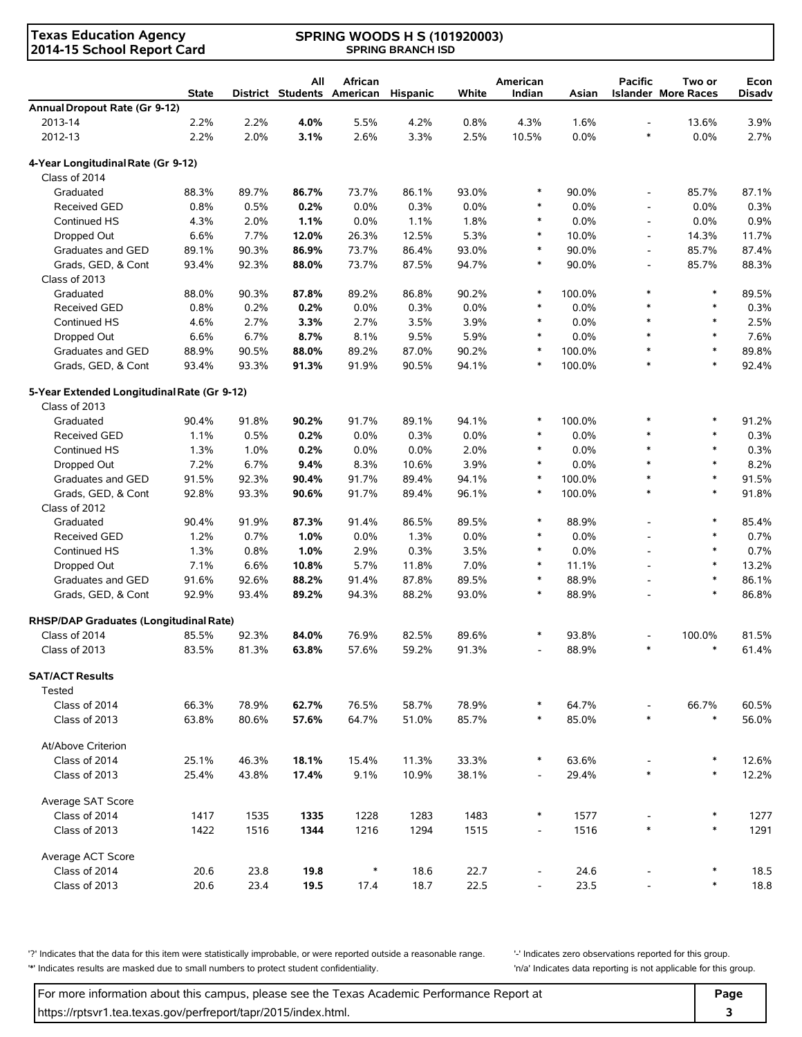| <b>Texas Education Agency</b><br>2014-15 School Report Card | <b>SPRING WOODS H S (101920003)</b><br><b>SPRING BRANCH ISD</b> |       |                                   |                |          |       |                          |        |                          |                                      |                       |
|-------------------------------------------------------------|-----------------------------------------------------------------|-------|-----------------------------------|----------------|----------|-------|--------------------------|--------|--------------------------|--------------------------------------|-----------------------|
|                                                             | <b>State</b>                                                    |       | All<br>District Students American | <b>African</b> | Hispanic | White | American<br>Indian       | Asian  | <b>Pacific</b>           | Two or<br><b>Islander More Races</b> | Econ<br><b>Disadv</b> |
| Annual Dropout Rate (Gr 9-12)                               |                                                                 |       |                                   |                |          |       |                          |        |                          |                                      |                       |
| 2013-14                                                     | 2.2%                                                            | 2.2%  | 4.0%                              | 5.5%           | 4.2%     | 0.8%  | 4.3%                     | 1.6%   | $\overline{\phantom{a}}$ | 13.6%                                | 3.9%                  |
| 2012-13                                                     | 2.2%                                                            | 2.0%  | 3.1%                              | 2.6%           | 3.3%     | 2.5%  | 10.5%                    | 0.0%   | $\ast$                   | 0.0%                                 | 2.7%                  |
| 4-Year Longitudinal Rate (Gr 9-12)                          |                                                                 |       |                                   |                |          |       |                          |        |                          |                                      |                       |
| Class of 2014                                               |                                                                 |       |                                   |                |          |       |                          |        |                          |                                      |                       |
| Graduated                                                   | 88.3%                                                           | 89.7% | 86.7%                             | 73.7%          | 86.1%    | 93.0% | $\ast$                   | 90.0%  | $\overline{\phantom{a}}$ | 85.7%                                | 87.1%                 |
| <b>Received GED</b>                                         | 0.8%                                                            | 0.5%  | 0.2%                              | 0.0%           | 0.3%     | 0.0%  | $\ast$                   | 0.0%   | $\overline{\phantom{a}}$ | 0.0%                                 | 0.3%                  |
| Continued HS                                                | 4.3%                                                            | 2.0%  | 1.1%                              | 0.0%           | 1.1%     | 1.8%  | $\ast$                   | 0.0%   | $\overline{\phantom{a}}$ | 0.0%                                 | 0.9%                  |
| Dropped Out                                                 | 6.6%                                                            | 7.7%  | 12.0%                             | 26.3%          | 12.5%    | 5.3%  | $\ast$                   | 10.0%  | $\overline{\phantom{a}}$ | 14.3%                                | 11.7%                 |
| Graduates and GED                                           | 89.1%                                                           | 90.3% | 86.9%                             | 73.7%          | 86.4%    | 93.0% | $\ast$                   | 90.0%  | $\overline{\phantom{a}}$ | 85.7%                                | 87.4%                 |
| Grads, GED, & Cont                                          | 93.4%                                                           | 92.3% | 88.0%                             | 73.7%          | 87.5%    | 94.7% | $\ast$                   | 90.0%  | $\overline{\phantom{a}}$ | 85.7%                                | 88.3%                 |
| Class of 2013                                               |                                                                 |       |                                   |                |          |       |                          |        |                          |                                      |                       |
| Graduated                                                   | 88.0%                                                           | 90.3% | 87.8%                             | 89.2%          | 86.8%    | 90.2% | $\ast$                   | 100.0% | $\ast$                   | $\ast$                               | 89.5%                 |
| <b>Received GED</b>                                         | 0.8%                                                            | 0.2%  | 0.2%                              | 0.0%           | 0.3%     | 0.0%  | $\ast$                   | 0.0%   | $\ast$                   | $\ast$                               | 0.3%                  |
| Continued HS                                                | 4.6%                                                            | 2.7%  | 3.3%                              | 2.7%           | 3.5%     | 3.9%  | $\ast$                   | 0.0%   | $\ast$                   | $\ast$                               | 2.5%                  |
| Dropped Out                                                 | 6.6%                                                            | 6.7%  | 8.7%                              | 8.1%           | 9.5%     | 5.9%  | $\ast$                   | 0.0%   | $\ast$                   | $\ast$                               | 7.6%                  |
| Graduates and GED                                           | 88.9%                                                           | 90.5% | 88.0%                             | 89.2%          | 87.0%    | 90.2% | $\ast$                   | 100.0% | $\ast$                   | $\ast$                               | 89.8%                 |
| Grads, GED, & Cont                                          | 93.4%                                                           | 93.3% | 91.3%                             | 91.9%          | 90.5%    | 94.1% | $\ast$                   | 100.0% | $\ast$                   | $\ast$                               | 92.4%                 |
| 5-Year Extended Longitudinal Rate (Gr 9-12)                 |                                                                 |       |                                   |                |          |       |                          |        |                          |                                      |                       |
| Class of 2013                                               |                                                                 |       |                                   |                |          |       |                          |        |                          |                                      |                       |
| Graduated                                                   | 90.4%                                                           | 91.8% | 90.2%                             | 91.7%          | 89.1%    | 94.1% | $\ast$                   | 100.0% | $\ast$                   | *                                    | 91.2%                 |
| <b>Received GED</b>                                         | 1.1%                                                            | 0.5%  | 0.2%                              | 0.0%           | 0.3%     | 0.0%  | $\ast$                   | 0.0%   | $\ast$                   | $\ast$                               | 0.3%                  |
| Continued HS                                                | 1.3%                                                            | 1.0%  | 0.2%                              | 0.0%           | 0.0%     | 2.0%  | $\ast$                   | 0.0%   | $\ast$                   | $\ast$                               | 0.3%                  |
| Dropped Out                                                 | 7.2%                                                            | 6.7%  | 9.4%                              | 8.3%           | 10.6%    | 3.9%  | $\ast$                   | 0.0%   | $\ast$                   | $\ast$                               | 8.2%                  |
| Graduates and GED                                           | 91.5%                                                           | 92.3% | 90.4%                             | 91.7%          | 89.4%    | 94.1% | $\ast$                   | 100.0% | $\ast$                   | $\ast$                               | 91.5%                 |
| Grads, GED, & Cont                                          | 92.8%                                                           | 93.3% | 90.6%                             | 91.7%          | 89.4%    | 96.1% | $\ast$                   | 100.0% | $\ast$                   | $\ast$                               | 91.8%                 |
| Class of 2012                                               |                                                                 |       |                                   |                |          |       |                          |        |                          |                                      |                       |
| Graduated                                                   | 90.4%                                                           | 91.9% | 87.3%                             | 91.4%          | 86.5%    | 89.5% | $\ast$                   | 88.9%  | $\overline{a}$           | $\ast$                               | 85.4%                 |
| <b>Received GED</b>                                         | 1.2%                                                            | 0.7%  | 1.0%                              | 0.0%           | 1.3%     | 0.0%  | $\ast$                   | 0.0%   |                          | $\ast$                               | 0.7%                  |
| Continued HS                                                | 1.3%                                                            | 0.8%  | 1.0%                              | 2.9%           | 0.3%     | 3.5%  | $\ast$                   | 0.0%   | $\overline{a}$           | $\ast$                               | 0.7%                  |
| Dropped Out                                                 | 7.1%                                                            | 6.6%  | 10.8%                             | 5.7%           | 11.8%    | 7.0%  | $\ast$                   | 11.1%  | $\overline{\phantom{a}}$ | $\ast$                               | 13.2%                 |
| Graduates and GED                                           | 91.6%                                                           | 92.6% | 88.2%                             | 91.4%          | 87.8%    | 89.5% | $\ast$                   | 88.9%  | $\overline{\phantom{a}}$ | $\ast$                               | 86.1%                 |
| Grads, GED, & Cont                                          | 92.9%                                                           | 93.4% | 89.2%                             | 94.3%          | 88.2%    | 93.0% | $\ast$                   | 88.9%  |                          | $\ast$                               | 86.8%                 |
| RHSP/DAP Graduates (Longitudinal Rate)                      |                                                                 |       |                                   |                |          |       |                          |        |                          |                                      |                       |
| Class of 2014                                               | 85.5%                                                           | 92.3% | 84.0%                             | 76.9%          | 82.5%    | 89.6% |                          | 93.8%  |                          | 100.0%                               | 81.5%                 |
| Class of 2013                                               | 83.5%                                                           | 81.3% | 63.8%                             | 57.6%          | 59.2%    | 91.3% |                          | 88.9%  |                          | $\ast$                               | 61.4%                 |
| <b>SAT/ACT Results</b>                                      |                                                                 |       |                                   |                |          |       |                          |        |                          |                                      |                       |
| Tested                                                      |                                                                 |       |                                   |                |          |       |                          |        |                          |                                      |                       |
| Class of 2014                                               | 66.3%                                                           | 78.9% | 62.7%                             | 76.5%          | 58.7%    | 78.9% |                          | 64.7%  |                          | 66.7%                                | 60.5%                 |
| Class of 2013                                               | 63.8%                                                           | 80.6% | 57.6%                             | 64.7%          | 51.0%    | 85.7% |                          | 85.0%  | $\ast$                   | $\ast$                               | 56.0%                 |
| At/Above Criterion                                          |                                                                 |       |                                   |                |          |       |                          |        |                          |                                      |                       |
| Class of 2014                                               | 25.1%                                                           | 46.3% | 18.1%                             | 15.4%          | 11.3%    | 33.3% | ∗                        | 63.6%  |                          |                                      | 12.6%                 |
| Class of 2013                                               | 25.4%                                                           | 43.8% | 17.4%                             | 9.1%           | 10.9%    | 38.1% |                          | 29.4%  | $\ast$                   | $\ast$                               | 12.2%                 |
|                                                             |                                                                 |       |                                   |                |          |       |                          |        |                          |                                      |                       |
| Average SAT Score                                           |                                                                 |       |                                   |                |          |       |                          |        |                          |                                      |                       |
| Class of 2014                                               | 1417                                                            | 1535  | 1335                              | 1228           | 1283     | 1483  | $\ast$                   | 1577   |                          |                                      | 1277                  |
| Class of 2013                                               | 1422                                                            | 1516  | 1344                              | 1216           | 1294     | 1515  | $\overline{\phantom{a}}$ | 1516   | $\ast$                   |                                      | 1291                  |
| Average ACT Score                                           |                                                                 |       |                                   |                |          |       |                          |        |                          |                                      |                       |
| Class of 2014                                               | 20.6                                                            | 23.8  | 19.8                              | $\ast$         | 18.6     | 22.7  | $\overline{\phantom{a}}$ | 24.6   |                          |                                      | 18.5                  |
| Class of 2013                                               | 20.6                                                            | 23.4  | 19.5                              | 17.4           | 18.7     | 22.5  |                          | 23.5   |                          | *                                    | 18.8                  |
|                                                             |                                                                 |       |                                   |                |          |       |                          |        |                          |                                      |                       |

'?' Indicates that the data for this item were statistically improbable, or were reported outside a reasonable range. | '-' Indicates zero observations reported for this group. '\*' Indicates results are masked due to small numbers to protect student confidentiality. 'n/a' Indicates data reporting is not applicable for this group.